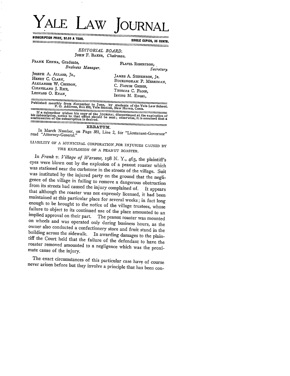# $E$  Law **J**our

**SUBSCRIPTION PRICE, \$2.50 A YEAR.** SINGLE COPIES, 35 CENTS.

#### *EDITORIAL BOARD.* **JOHN** F. BAKER, Chairman.

**FRANK KENNA,** Graduate, **FLAVEL ROBERTSON,** *Business Manager. Secretary.*

**JOSEPH A.** ALLARD, JR.,

JAMES A. STEVENSON, JR.<br>
HENRY C. CLARK, BUCKINGHAM P. MERRIMAN<br>
ALEXANDER W. CREEDON, C. FLOYDE GRIDER,<br>
CLEAVELAND J. RICE, THOMAS C. FLOOD,<br>
LEONARD O. RYAN, IRVING M. ENGEL.

Published monthly from November to June, by students of the Yale Law School.<br>
P. O. Address, Box 893, Yale Station, New Haven, Conn.

If a subscriber wishes his copy of the JOURNAL discontinued at the expiration of his subscription, notice to that effect should be sent; otherwise, it is assumed that a continuation of the subscription is desired.

ERRATUm. In March Number, on Page 381, Line *2,* for "Lieutenant-Governor" read "Attorney-General."

# LIABILITY **OF A** MqUNICIPAL CORPORATION .FOR INJURIES **CAUSED** BY **THE** EXPLOSION OF **A PEANUT** ROASTER.

In *Frank v. Village of Warsaw,* 198 N. Y., 463, the plaintiff's<br>eyes were blown out by the explosion of a peanut roaster which<br>was stationed near the curbstone in the streets of the village. Suit<br>was instituted by the in owner also conducted a confectionery store and fruit stand in the building across the sidewalk. In awarding damages to the plaintiff the Court held that the failure of the defendant to have the roaster removed amounted to

The exact circumstances of this particular case have of course never arisen before but they involve a principle that has been con-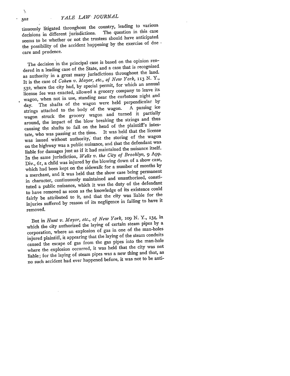tinuously litigated throughout the country, leading to various. decisions in different jurisdictions. The question in this case seems to be whether or not the trustees should have anticipated the possibility of the accident happening by the exercise of due  $\cdot$ care and prudence.

The decision in the principal case is based on the opinion rendered in a leading case of the State, and a case that is recognized as authority in a great many jurisdictions throughout the land. It is the case of *Cohen v. Mayor, etc., of New York,* **113** *N. Y.,* **532,** where the city had, by special permit, for which an annual license fee was exacted, allowed a grocery company to leave its wagon, when not in use, standing near the curbstone night and day. The shafts of the wagon were held perpendicular by strings attached to the body of the wagon. wagon struck the grocery wagon and turned it partially around, the impact of the blow breaking the strings and thus causing the shafts to fall on the head of the plaintiff's intes-<br>tate, who was passing at the time. It was held that the license tate, who was passing at the time. It was held that the license was issued without authority, that the storing of the wagon<br>was issued without authority, that the defendant was on the highway was a public nuisance, and that the defendant was liable for damages just as if it had maintained the nuisance itself. In the same jurisdiction, *Wells v. the City of Brooklyn, 9* App. Div., 61, a child was injured by the blowing down of a show case, which had been kept on the sidewalk for a number of months by a merchant, and it was held that the show case being permanent in character, continuously maintained and unauthorized, constituted a public nuisance, which it was the duty of the defendant to have removed as soon as the knowledge of its existence could fairly be attributed to it, and that the city was liable for the injuries suffered by reason of its negligence in failing to have it removed.

But in *Hunt v. Mayor, etc., of New York, 1o9* N. Y., 134, in which the city authorized the laying of certain steam pipes by a corporation, where an explosion of gas in one of the man-holes injured plaintiff, it appearing that the laying of the steam conduits caused the escape of gas from the gas pipes into the man-hole where the explosion occurred, it was held that the city was not liable; for the laying of steam pipes was a new thing and that, as no such accident had ever happened before, it was not to be anti-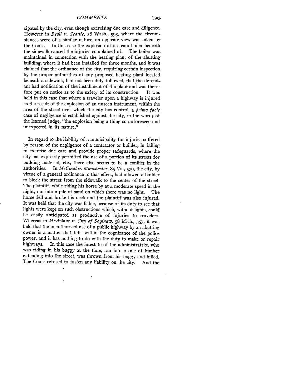cipated **by** the city, even though exercising due care and diligence. However in *Beall v. Seattle,* 28 Wash., 593, where the circumstances were of a similar nature, an opposite view was taken **by** the Court. In this case the explosion of a steam boiler beneath the sidewalk caused the injuries complained of. The boiler was maintained in connection with the heating plant of the abutting building, where it had been installed for three months, and it was claimed that the ordinance of the city, requiring certain inspection **by** the proper authorities of any proposed heating plant located beneath a sidewalk, had not been duly followed, that the defendant had notification of the installment of the plant and was therefore put on notice as to the safety of its construction. It was held in this case that where a traveler upon a highway is injured as the result of the explosion of an unseen instrument, within the area of the street over which the city has control, a *prima facie*case of negligence is established against the city, in the words of the learned judge, "the explosion being a thing so unforeseen and unexpected in its nature."

In regard to the liability of a municipality for injuries suffered **by** reason of the negligence of a contractor or builder, in failing to exercise due care and provide proper safeguards, where the city has expressly permitted the use of a portion of its streets for building material, etc., there also seems to be a conflict in the authorities. In *McCoull v. Manchester,* **85** Va., *579,* the city, **by** virtue of a general ordinance to that effect, had allowed a builder to block the street from the sidewalk to the center of the street. The plaintiff, while riding his horse **by** at a moderate speed in the night, ran into a pile of sand on which there was no light. The horse fell and broke his neck and the plaintiff was also injured. It was held that the city was liable, because of its duty to see that lights were kept on such obstructions which, without lights, could be easily anticipated as productive of injuries to travelers. Whereas in *McArthur v. City of Saginawz,* **58** Mich., 357, it was held that the unauthorized use of a public highway **by** an abutting owner is a matter that falls within the cognizance of the police power, and it has nothing to do with the duty to make or repair highways. In this case the intestate of the administratrix, who was riding in his buggy at the time, ran into a pile of lumber extending into the street, was thrown from his buggy and killed. The Court refused to fasten any liability on the city. And the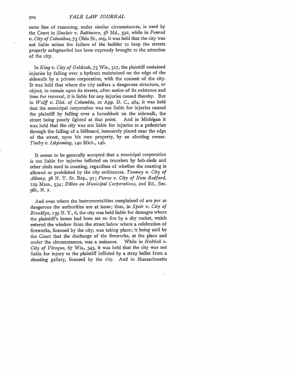same line of reasoning, under similar circumstances, is used by the Court in *Sinclair v. Baltimore, 59* Md., **592,** while in *Penrod v. City of Columbus,* 73 Ohio St., *209,* it was held that the city was not liable unless the failure of the builder to keep the streets properly safeguarded has been expressly brought to the attention of the city.

In *King v. City of Oshkosh, 75* Wis., **517,** the plaintiff sustained injuries by falling over a hydrant maintained on the edge of the sidewalk by a private corporation, with the consent of the city. It was held that where the city suffers a dangerous structure, or object, to remain upon its streets, after notice of its existence and time for removal, it is liable for any injuries caused thereby. But in *Wolff v. Dist. of Columbia,* 21 App. D. C., 464, it was held that the municipal corporation was not liable for injuries caused the plaintiff by falling over a horseblock on the sidewalk, the street being poorly lighted at that point. And in Michigan it was held that the city was not liable for injuries to a pedestrian through the falling of a billboard, insecurely placed near the edge of the street, upon his own property, by an abutting owner. *Timby v. Islipemiig,* **14o** Mich., 146.

It seems to be generally accepted that a municipal corporation is not liable for injuries inflicted on travelers **by** bob-sleds and other sleds used in coasting, regardless of whether the coasting is allowed or prohibited **by** the city ordinances. *Toomey v. City of Albany,* 38 N. Y. St. Rep., *91; Pierce v. City of New Bedford, 129* Mass., 534; *Dillon on Municipal Corporations,* 2nd Ed., Sec. 981, N. 2.

And even where the instrumentalities complained of are *per se* dangerous the authorities are at issue; thus, in *Speir v. City of Brooklyn,* **139** N. Y., 6, the city was held liable for damages where the plaintiff's house had been set on fire by a sky rocket, which entered the window from the street below where a celebration of fireworks, licensed by the city, was taking place; it being said by the Court that the discharge of the fireworks, at the place and under the circumstances, was a nuisance. While in *Hubbell v. City of Viroqua,* 67 Wis., 343, it was held that the city was not liable for injury to the plaintiff inflicted by a stray bullet from a shooting gallery, licensed by the city. And in Massachusetts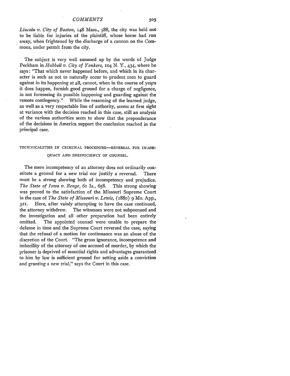*Lincoln v. City of Boston,* 148 Mass., 588, the city was held not to **be** liable for injuries of the plaintiff, whose horse had run away, when frightened by the discharge of a cannon on the Commons, under permit from the city.

The subject is very well summed up by the words of judge Peckham in *Hubbell v. City of Yonkers, 1O4* N. Y., 434, where he says: "That which never happened before, and which in its character is such as not to naturally occur to prudent men to guard against in its happening at all, cannot, when in the course of years it does happen, furnish good ground for a charge of negligence, in not foreseeing its possible happening and guarding against the remote contingency." While the reasoning of the learned judge, as well as a very respectable line of authority, seems at first sight at variance with the decision reached in this case, still an analysis of the various authorities seem to show that the preponderance of the decisions in America support the conclusion reached in the principal case.

# TECHNICALITIES IN CRIMINAL PROCEDURE-REVERSAL FOR INADE-**QUACY AND** INEFFICIENCY OF **COUNSEL.**

The mere incompetency of an attorney does not ordinarily constitute a ground for a new trial nor justify a reversal. There must be a strong showing both of incompetency and prejudice. *The State of Iowa v. Benge, 6I Ia., 658.* This strong showing was proved to the satisfaction of the Missouri Supreme Court in the case of *The State of Missouri v. Lewis,* (188o) 9 Mo. App., 321. Here, after vainly attempting to have the case continued, the attorney withdrew. The witnesses were not subpoenaed and the investigation and all other preparation bad been entirely omitted. The appointed counsel were unable to prepare the defense in time and the Supreme Court reversed the case, saying that the refusal of a motion for continuance was an abuse of the discretion of the Court. "The gross ignorance, incompetence and imbecility of the attorney of one accused of murder, **by** which the prisoner is deprived of essential rights and advantages guaranteed to him **by** law is sufficient ground for setting aside a conviction and granting a new trial," says the Court in this case.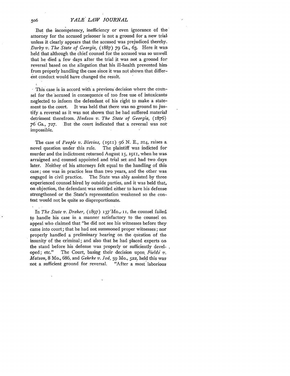But the incompetency, inefficiency or even ignorance of the attorney for the accused prisoner is not a ground for a new trial unless it clearly appears that the accused was prejudiced thereby. *Darby v. The State of Georgia,* (1887) 79 Ga., 63. Here it was held that although the chief counsel for the accused was so unwell that he died a few days after the trial it was not a ground for reversal based on the allegation that his ill-health prevented him. from properly handling the case since it was not shown that different conduct would have changed the result.

This case is in accord with a previous decision where the counsel for the accused in consequence of too free use of intoxicants neglected to inform the defendant of his right to make a statement to the court. It was held that there was no ground to justify a reversal as it was not shown that he had suffered material detriment therefrom. *Hudson v. The State of Georgia,* (1876) 76 Ga., *727.* But the court indicated that a reversal was not impossible.

The case of *People v. Blevins,* (1911) 96 N. **E.,** 214, raises a novel question under this rule. The plaintiff was indicted for murder and the indictment returned August **15,** 1911, when he was. arraigned and counsel appointed and trial set and had two days later. Neither of his attorneys felt equal to the handling of this case; one was in practice less than two years, and the other was engaged in civil practice. The State was ably assisted by three experienced counsel hired by outside parties, and it was held that, on objection, the defendant was entitled either to have his defense strengthened or the State's representation weakened so the contest would not be quite so disproportionate.

In *The State v. Dreher*, (1897) 137 Mo., 11, the counsel failed to handle his case in a manner satisfactory to the counsel on appeal who claimed that "he did not see his witnesses before they came into court; that he had not summoned proper witnesses; nor properly handled a preliminary hearing on the question of the insanity of the criminal; and also that he had placed experts on the stand before his defense was properly or sufficiently devel-. oped; etc." The Court, basing their decision upon *Fieldi v. Matson,* 8 Mo., 686, and *Gehrke v. lod,* 59 Mo., **522,** held this was not a sufficient ground for reversal. "After a most laborious

 $\ddot{\phantom{a}}$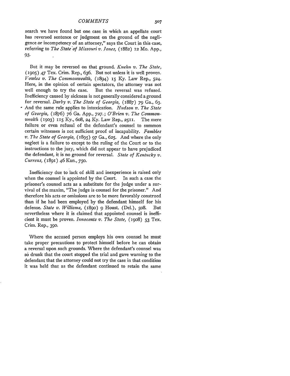search we have found but one case in which an appellate court has reversed sentence or judgment on the ground of the negligence or incompetency of an attorney," says the Court in this case, referring to *The State"of Missouri v. Jones,* (1882) 12 Mo. App., **93-**

But it may be reversed on that ground. *Kuehn v. The State,* **(1905)** 47 Tex. Crim. Rep., 636. But not unless it is well proven. *Vowles v. The Commonwealth,* (1894) **15** Ky. Law Rep., 524. Here, in the opinion of certain spectators, the attorney was not well enough to try the case. But the reversal was refused. Inefficiency caused by sickness is not generally considered a ground for reversal. *Darby v. The State of Georgia,* (1887) 79 Ga., 63. *-* And the same rule applies to intoxication. *Hudson v. The State of Georgia,* (1876) 76 Ga. App., *727.; O'Brien v. The Commonwealth* (19o3) 115 Ky., 6o8, 24 Ky. Law Rep., 2511. The mere failure or even refusal of the defendant's counsel to summon certain witnesses is not sufficient proof of incapability. *Fambles v. The State of Georgia,* (1895) 97 Ga., 625. And where the only neglect is a failure to except to the ruling of the Court or to the instructions to the jury, which did not appear to have prejudiced the defendant, it is no ground for reversal. *State of Kentucky v. Currens,* (1891) 46 Kan., **750.**

Inefficiency due to lack of skill and inexperience is raised only when the counsel is appointed by the Court. In such a case the prisoner's counsel acts as a substitute for the judge under a survival of the maxim, "The judge is counsel for the prisoner." And therefore his acts or omissions are to be more favorably construed than if he had been employed by the defendant himself for his defense. *State v. Williams,* (189o) 9 Houst. (Del.), 5o8. But nevertheless where it is claimed that appointed counsel is inefficient it must be proven. *Innocents v. The State,* (1908) 53 Tex. Crim. Rep., **390.**

Where the accused person employs his own counsel he must take proper precautions to protect himself before he can obtain a reversal upon such grounds. Where the defendant's counsel was so drunk that the court stopped the trial and gave warning to the defendant that the attorney could not try the case in that condition it was held that as the defendant continued to retain the same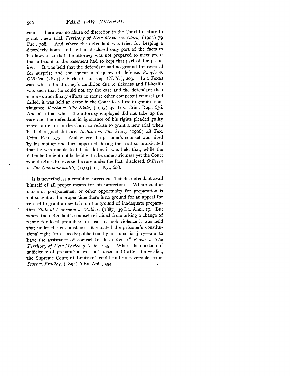counsel there was no abuse *-of* discretion in the Court to refuse to grant a new trial. *Territory of New Mexico v. Clark, (1905)* 79 Pac., 708. And where the defendant was tried for keeping a disorderly house and he had disclosed only part of the facts to his lawyer so that the attorney was not prepared to meet proof that a tenant in the basement had so kept that part of the premises. It was held that the defendant had no ground for reversal for surprise and consequent inadequacy of defense. *People v. O'Brien,* (1854) 4 Parker Crim. Rep. (N. Y.), 203. ,case where the attorney's condition due to sickness and ill-health was such that he could not try the case and the defendant then made extraordinary efforts to secure other competent counsel and failed, it was held an error in the Court to refuse to grant a continuance. *Kuehn v. The State,* **(1905)** 47 Tex. Crim. Rep., 636. And also that where the attorney employed did not take up the ,case and the defendant in ignorance of his rights pleaded guilty it was an error in the Court to refuse to grant a new trial when be had a good defense. *Jackson v. The State,* (19o6) 48 Tex. Crim. Rep., 373. And where the prisoner's counsel was hired **by-** his mother and then appeared during the trial so intoxicated that he was unable to fill his duties it was held that, while the defendant might not be held with the same strictness yet the Court -would refuse to reverse the case under the facts disclosed. *O'Brien -v. The Commonwealth,* **(1903)** 115 Ky., 6o8.

It is nevertheless a condition precedent that the defendant avail himself of all proper means for his protection. Where contin- -uance or postponement or other opportunity for preparation is -not sought at the proper time there is no ground for an appeal for Tefusal to grant a new trial on the ground of inadequate preparation. *State of Louisiana v. Walker,* (1887) 39 La. Ann., **19.** But where the defendant's counsel refrained from asking a change of venue for local prejudice for fear of mob violence it was held that under the circumstances it violated the prisoner's constitutional right "to a speedy public trial by an impartial jury-and to have the assistance of counsel for his defense," *Roper v. The Territory of New Mexico, 7* N. M., **255.** Where the question of -sufficiency of preparation was not raised until after the verdict, the Supreme Court of Louisiana could find no reversible error. *State v. Bradley,* (1851) 6 La. An'n-, 554.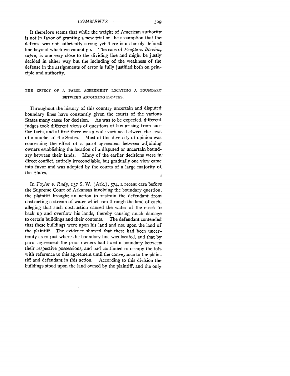It therefore seems that while the weight of American authorityis not in favor of granting a new trial on the assumption that thedefense was not sufficiently strong yet there is a sharply defined line beyond which we cannot go. The case of *People v. Blevins,. supra,* is one very close to the dividing line and might be justly decided in either way but the including of the weakness of the defense in the assignments of error is fully justified" both on priaciple and authority.

## **THE EFFECT** OF **A** PAROL **AGREEMENT** LOCATING **A** BOUNDARY **BETWEEN** ADJOINING **ESTATES.**

Throughout the history of this country uncertain and disputed boundary lines have constantly given the courts of the various States many cases for decision. As was to be expected, different judges took different views of questions of law arising from similar facts, and at first there was a wide variance between the laws of a number of the States. Most of this diversity of opinion was concerning the effect of a parol agreement between adjoining owners establishing the location of a disputed or uncertain boundary between their lands. Many of the earlier decisions were in. direct conflict, entirely irreconcilable, but gradually one view came into favor and was adopted by the courts of a large majority of the States. لد

In *Taylor v. Rudy,* **137 S.** W. (Ark.), 574, a recent case before the Supreme Court of Arkansas involving the boundary question, the plaintiff brought an action to restrain the defendant from obstructing a stream of water which ran through the land of each, alleging that such obstruction caused the water of the creek to back up and overflow his lands, thereby causing much damage to certain buildings and their contents. The defendant contended that these buildings were upon his land and not upon the land of the plaintiff. The evidence showed that there had been uncertainty as to just where the boundary line was located, and that **by**parol agreement the prior owners had fixed a boundary between, their respective possessions, and had continued to occupy the lots with reference to this agreement until the conveyance to the plaintiff and defendant in this action. According to this division the buildings stood upon the land owned by the plaintiff, and the only-

509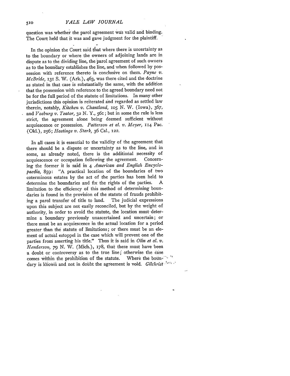question was whether the parol agreement vas valid and binding. The Court held that it was and gave judgment for the plaintiff.

In the opinion the Court said that where there is uncertainty as to the boundary or where the owners of adjoining lands are in dispute as to the dividing line, the parol agreement of such owners as to the boundary establishes the line, and when followed by possession with reference thereto is conclusive on them. *Payne v. McBride,* 131 **S.** W. (Ark.), 463, was there cited and the doctrine as stated in that case is substantially the same, with the addition that the possession with reference to the agreed boundary need not be for the full period of the statute of limitations. In many other jurisdictions this opinion is reiterated and regarded as settled law therein, notably, *Kitchen v. Chantland,* io5 **N.** W. (Iowa), *367,* and *Vosburg v. Teator,* **32** N. Y., 561; but in some the rule is less strict, the agreement alone being deemed sufficient without acquiescence or possession. *Patterson et al. v. Meyer,* **114** Pac. (Okl.), 256; *Hastings* v. *Stark,* 36 Cal., 122.

In all cases it is essential to the validity of the agreement that there should be a dispute or uncertainty as to the line, and in some, as already noted, there is the additional necessity of acquiescence or occupation following the agreement. Concerning the former it is said in 4 *American and English Encyclopaedia,* **859:** "A practical location of the boundaries of two coterminous estates by the act of the parties has been held to determine the boundaries and fix the rights of the parties. A limitation to the efficiency of this method of determining boundaries is found in the provision of the statute of frauds prohibit-<br>ing a parol transfer of title to land. The judicial expressions ing a parol transfer of title to land. upon this subject are not easily reconciled, but by the weight of authority, in order to avoid the statute, the location must determine a boundary previously unascertained and uncertain; or there must be an acquiescence in the actual location for a period greater than the statute of limitations; or there must be an element of actual estoppel in the case which will prevent one of the parties from asserting his title." Thus it is said in *Olin et al. v. Henderson, 79 N.W. (Mich.), 178, that there must have been* a doubt or controversy as to the true line; otherwise the case comes within the prohibition of the statute. Where the bouncomes within the prohibition of the statute. dary is khown and not in doubt the agreement is void. *Gilchrist*<sup>there</sup>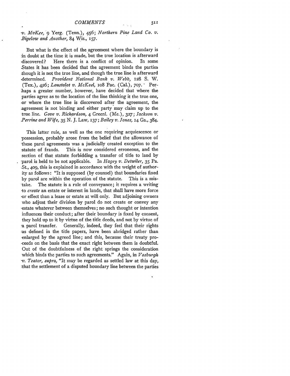**-v.** *MvKee,* 9 Yerg. (Tenn.), 456; *Northern Pine Land Co. v. -Bigelow and Another,* 84 Wis., **157.**

But what is the effect of the agreement where the boundary is in doubt at the time it is made, but the true location is afterward -discovered? Here there is a conflict of opinion. In some States it has been decided that the agreement binds the parties though it is not the true line, and though the true line is afterward -determined. *Provident National Bank v. Webb,* 128 S. W. (Tex.), 4.26; *Loustalot v. McKeel,* io8 Pac. (Cal.), **707. .** Per-Jhaps a greater number, however, have decided that where the parties agree as to the location of the line thinking it the true one, or where the true line is discovered after the agreement, the .agreement is not binding and either party may claim up to the true line. *Gove v. Richardson,* 4 Greenl. (Me.), **327;** *Jackson v. .Perrine and Wife,* 35 N. J. Law, 137; *Bailey v. Jones,* 14 Ga., 384.

This latter rule, as well as the one requiring acquiescence or -possession, probably arose from the belief that the allowance of these parol agreements was a judicially created exception to the statute of frauds. This is now considered erroneous, and the section of that statute forbidding a transfer of title to land by -parol is held to be not applicable. In *Hagey v. Detwiler,* 35 Pa. .St., 4o9, this is explained in accordance with the weight of authority as follows: "It is supposed (by counsel) that boundaries fixed by parol are within the operation of the statute. This is a mis- -take. The statute is a rule of conveyance; it requires a writing *to create* an estate or interest in lands, that shall have more force or effect than a lease or estate at will only. But adjoining owners who adjust their division by parol do not create or convey any -estate whatever between themselves; no such thought or intention influences their conduct; after their boundary is fixed by consent, they hold up to it by virtue of the title deeds, and not by virtue of a parol transfer. Generally, indeed, they feel that their rights as defined in the title papers, have been abridged rather than enlarged by the agreed line; and this, because their treaty pro- -ceeds on the basis that the exact right between them is doubtful. Out of the doubtfulness of the right springs the consideration which binds the parties to such agreements." Again, in *Vosburgh -v. Teator, supra,* "It may be regarded as settled law at this day, that the settlement of a disputed boundary line between the parties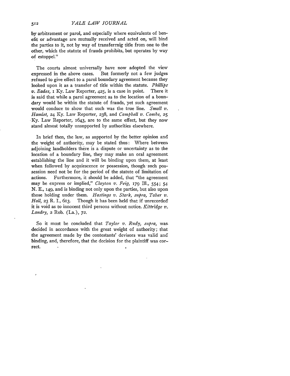by-arbitrament or parol, and especially where equivalents of benefit or advantage are mutually received and acted on, will bind the parties to it, not by way of transferrnig title from one to the other, which the statute of frauds prohibits, but operates by way of estoppel."

The courts almost universally have now adopted the view expressed in the above cases. But formerly not a few judges refused to give effect to a parol boundary agreement because they looked upon it as a transfer of title within the statute. *Phillips v. Eades,* i Ky. Law Reporter, 425, is a case in point. There it is said that while a parol agreement as to the location of a boundary would'be within the statute of frauds, yet such agreement would conduce to show that such was the true line. *Small* **v.** *Hamlet,* 24 **Ky.** Law Reporter, **238,** and *Campbell v. Combs, 25* **-Ky.** Law Reporter, 1643, are to the same effect, but they now stand almost totally unsupported **by** authorities elsewhere.

In brief then, the law, as supported **by** the better opinion and the weight of authority, may be stated thus: Where between adjoining landholders there is a dispute or uncertainty as to the location of a boundary line, they may make an oral agreement establishing the line and it will be binding upon them, at least when followed by acquiescence or possession, though such possession need not be for the period of the statute of limitation of actions. Furthermore, it should be added, that "the agreement may be express or implied," *Clayton v. Feig,* 179 Ill., 554; 54 *N.* E., **149,** and is binding not only upon the parties, but also upon those holding under them. *Hastings v. Stark, supra, Taber v. Hall,* **23** R. I., 613. Though it has been held that if unrecorded it is void as to innocent third persons without notice. *Kittridge v-Landry,* 2 Rob. (La.), *72.*

So it must be concluded that *Taylor v. Rudy, supra,* was, decided in accordance with the great weight of authority; that the agreement made by the contestants' devisors was valid and binding, and, therefore, that the decision for the plaintiff was correct.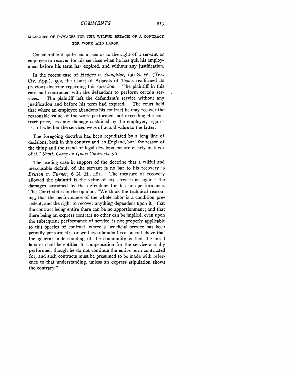### **MEASURES** OF **DAMAGES** FOR THE WILFUL BREACH OF **A CONTRACT** FOR WORK **AND** LAROR.

Considerable dispute has arisen as to the right of a servant or employee to recover for his services when he has quit his employment before his term has expired, and without any justification.

In the recent case of *Hedges v. Slaughter,* 13o S. W. (Tex. Civ. App.), **592,** the Court of Appeals of Texas reaffirmed its previous doctrine regarding this question. The plaintiff in this case had contracted with the defendant to perform certain services. The plaintiff left the defendant's service without any justification and before his term had expired. The court held that where an employee abandons his contract he may recover the reasonable value of the work performed, not exceeding the contract price, less any damage sustained by the employer, regardless of whether the services were of actual value to the latter.

The foregoing doctrine has been repudiated by a long line of decisions, both in this country and in England, but "the reason of the thing and the trend of legal development are clearly in favor of it." *Scott, Cases on Quasi Contracts, 761.*

The leading case in support of the doctrine that a wilful and inexcusable default of the servant is no bar to his recovery is *Britton v. Turner,* 6 N. H., 481. The measure of recovery allowed the plaintiff is the value of his services as against the damages sustained by the defendant for his non-performance. The Court states in the opinion, "We think the technical reasoning, that the performance of the whole labor is a condition precedent, and the right to recover anything dependent upon it; that the contract being entire there can be no apportionment; and that there being an express contract no other can be implied, even upon the subsequent performance of service, is not properly applicable to this species of contract, where a beneficial service has been actually performed; for we have abundant reason to believe that the general understanding **of** the community is that the hired laborer shall be entitled to compensation for the service actually performed, though he do not continue the entire term contracted for, and such contracts must be presumed to be made with reference to that understanding, unless an express stipulation shows the contrary."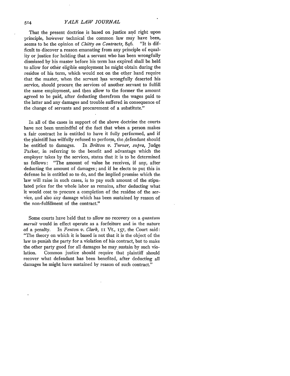*YALE LAW JOURNAL*

That the present doctrine is based on justice and right upon principle, hovever technical the common law may have been, seems to be the opinion of *Chitty on Contracts,* 846. "It is difficult to discover a reason emanating from any principle of equality or justice for holding that a servant who has been wrongfully dismissed by his master before his term has expired shall be held to allow for other eligible employment he might obtain during the residue of his term, which would not on the other hand require that the master, when the servant has wrongfully deserted his service, should procure the services of another, servant to fulfill the same employment, and then allow to the former the amount agreed to be paid, after deducting therefrom the wages paid to the latter and any damages and trouble suffered in consequence of the change of servants and procurement of a substitute."

In all of the cases in support of the above doctrine the courts have not been unmindful of the fact that when a person makes a fair contract he is entitled to have it fully performed, and if the plaintiff has wilfully refused to perform, the defendant should be entitled to damages. *In Britton v. Turner, supra,* judge Parker, in referring to the benefit and advantage which the employer takes by the services, states that it is to be determined as follows: "The amount of value he receives, if any, after deducting the amount of damages; and if he elects to put this in defense he is entitled so to do, and the implied promise which the law will raise in such cases, is to pay such amount of the stipulated price for the whole labor as remains, after deducting what it would cost to procure a completion of the residue of the service, and also any damage which has been sustained by reason of the non-fulfillment of the contract."

Some courts have held that to allow no recovery on a *quantum .neruit* would in effect operate as a forfeiture and in the nature of a penalty. In *Fenton v. Clark, II* Vt., 157, the Court said: "The theory on which it is based is not that it is the object of the law to punish the party for a violation of his contract, but to make the other party good for all-damages he may sustain by such violation. Common justice should require that plaintiff should recover what defendant has been benefited, after deducting all damages he might have sustained by reason of such contract."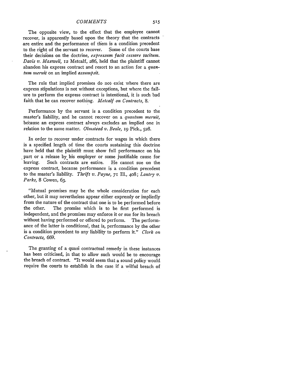The opposite view, to the effect that the employee cannot recover, is apparently based upon the theory that the contracts are entire and the performance of them is a condition precedent to the right of the servant to recover. Some of the courts base their decisions on the doctrine, *expressum facit cessare taciturn. Davis v. Maxwell,* 12 Metcalf, 286, held that the plaintiff cannot abandon his express contract and resort to an action for a *quanturm meruit* on an implied *assumpsit.*

The rule that implied promises do not- exist where there are express stipulations is not without exceptions, but where the failure to perform the express contract is intentional, it is such bad faith that he can recover nothing. *Metcalf on Contracts, 8.*

Performance by the servant is a condition precedent to the master's liability, and he cannot recover on a *quantum meruit*, because an express contract always excludes an implied one in relation to the same matter. *O'lmstead v. Beale, 19* Pick., 528.

In order to recover under contracts for wages in which there is a specified length of time the courts sustaining this doctrine have held that the plaintift must show full performance on his part or a release **by.** his employer or some justifiable cause for leaving. Such contracts are entire. He cannot sue on the express contract, because performance is a condition precedent to the master's liability. *Thrift v. Payne,* 71 Ill., 408; *Lantry v. Parks,* 8 Cowen, 63.

"Mutual promises may be the whole consideration for each other, but it may nevertheless appear either expressly or impliedly from the nature of the contract that one is to be performed before the other. The promise which is to be first performed is independent, and the promises may enforce it or sue for its breach without having performed or offered to perform. The performance of the latter is conditional, that is, performance by the other is a condition precedent to any liability to perform it." *Clark on Contracts,* 669.

The granting of a quasi contractual remedy in these instances has been criticised, in that to allow such would be to encourage the breach of contract. "It would seem that a sound policy would require the courts to establish in the case if a wilful breach of